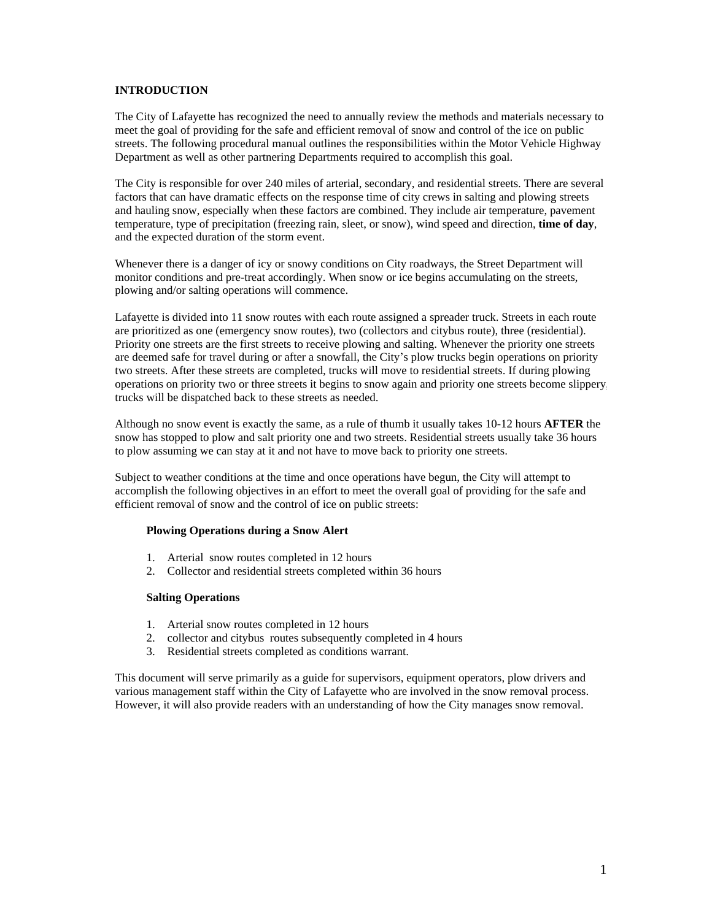## **INTRODUCTION**

The City of Lafayette has recognized the need to annually review the methods and materials necessary to meet the goal of providing for the safe and efficient removal of snow and control of the ice on public streets. The following procedural manual outlines the responsibilities within the Motor Vehicle Highway Department as well as other partnering Departments required to accomplish this goal.

The City is responsible for over 240 miles of arterial, secondary, and residential streets. There are several factors that can have dramatic effects on the response time of city crews in salting and plowing streets and hauling snow, especially when these factors are combined. They include air temperature, pavement temperature, type of precipitation (freezing rain, sleet, or snow), wind speed and direction, **time of day**, and the expected duration of the storm event.

Whenever there is a danger of icy or snowy conditions on City roadways, the Street Department will monitor conditions and pre-treat accordingly. When snow or ice begins accumulating on the streets, plowing and/or salting operations will commence.

Lafayette is divided into 11 snow routes with each route assigned a spreader truck. Streets in each route are prioritized as one (emergency snow routes), two (collectors and citybus route), three (residential). Priority one streets are the first streets to receive plowing and salting. Whenever the priority one streets are deemed safe for travel during or after a snowfall, the City's plow trucks begin operations on priority two streets. After these streets are completed, trucks will move to residential streets. If during plowing operations on priority two or three streets it begins to snow again and priority one streets become slippery, trucks will be dispatched back to these streets as needed.

Although no snow event is exactly the same, as a rule of thumb it usually takes 10-12 hours **AFTER** the snow has stopped to plow and salt priority one and two streets. Residential streets usually take 36 hours to plow assuming we can stay at it and not have to move back to priority one streets.

Subject to weather conditions at the time and once operations have begun, the City will attempt to accomplish the following objectives in an effort to meet the overall goal of providing for the safe and efficient removal of snow and the control of ice on public streets:

#### **Plowing Operations during a Snow Alert**

- 1. Arterial snow routes completed in 12 hours
- 2. Collector and residential streets completed within 36 hours

#### **Salting Operations**

- 1. Arterial snow routes completed in 12 hours
- 2. collector and citybus routes subsequently completed in 4 hours
- 3. Residential streets completed as conditions warrant.

This document will serve primarily as a guide for supervisors, equipment operators, plow drivers and various management staff within the City of Lafayette who are involved in the snow removal process. However, it will also provide readers with an understanding of how the City manages snow removal.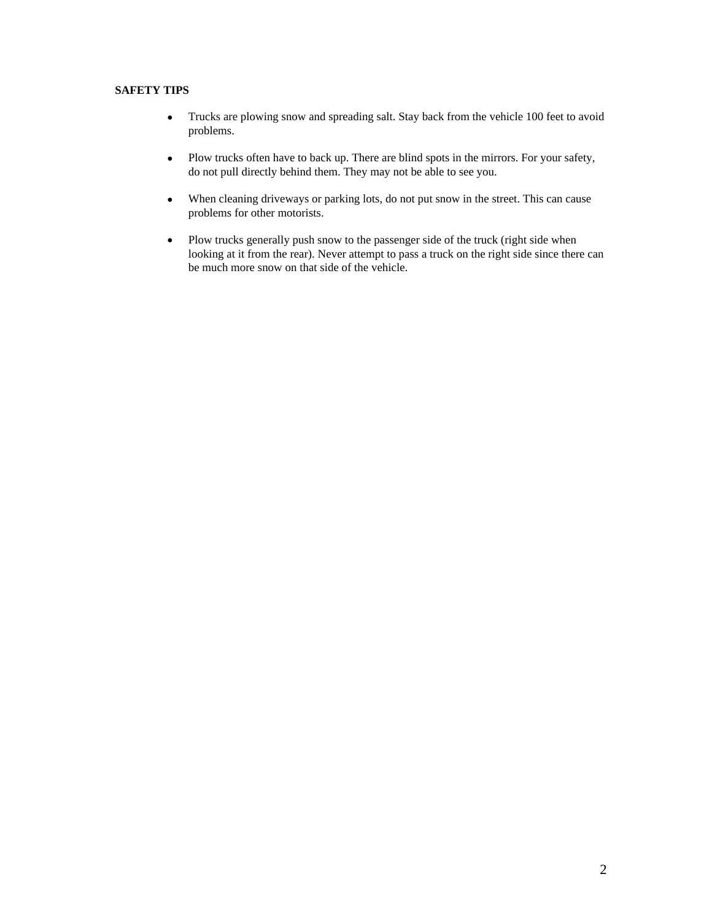# **SAFETY TIPS**

- Trucks are plowing snow and spreading salt. Stay back from the vehicle 100 feet to avoid problems.
- Plow trucks often have to back up. There are blind spots in the mirrors. For your safety, do not pull directly behind them. They may not be able to see you.
- When cleaning driveways or parking lots, do not put snow in the street. This can cause problems for other motorists.
- Plow trucks generally push snow to the passenger side of the truck (right side when looking at it from the rear). Never attempt to pass a truck on the right side since there can be much more snow on that side of the vehicle.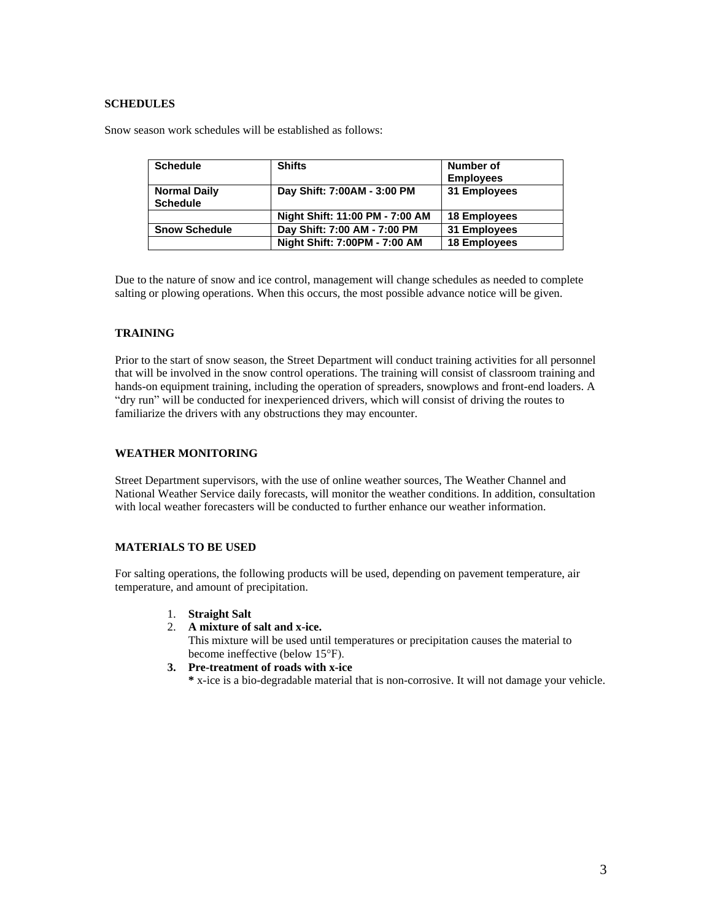# **SCHEDULES**

Snow season work schedules will be established as follows:

| <b>Schedule</b>      | <b>Shifts</b>                   | Number of           |
|----------------------|---------------------------------|---------------------|
|                      |                                 | <b>Employees</b>    |
| <b>Normal Daily</b>  | Day Shift: 7:00AM - 3:00 PM     | 31 Employees        |
| <b>Schedule</b>      |                                 |                     |
|                      | Night Shift: 11:00 PM - 7:00 AM | <b>18 Employees</b> |
| <b>Snow Schedule</b> | Day Shift: 7:00 AM - 7:00 PM    | 31 Employees        |
|                      | Night Shift: 7:00PM - 7:00 AM   | <b>18 Employees</b> |

Due to the nature of snow and ice control, management will change schedules as needed to complete salting or plowing operations. When this occurs, the most possible advance notice will be given.

# **TRAINING**

Prior to the start of snow season, the Street Department will conduct training activities for all personnel that will be involved in the snow control operations. The training will consist of classroom training and hands-on equipment training, including the operation of spreaders, snowplows and front-end loaders. A "dry run" will be conducted for inexperienced drivers, which will consist of driving the routes to familiarize the drivers with any obstructions they may encounter.

# **WEATHER MONITORING**

Street Department supervisors, with the use of online weather sources, The Weather Channel and National Weather Service daily forecasts, will monitor the weather conditions. In addition, consultation with local weather forecasters will be conducted to further enhance our weather information.

## **MATERIALS TO BE USED**

For salting operations, the following products will be used, depending on pavement temperature, air temperature, and amount of precipitation.

- 1. **Straight Salt**
- 2. **A mixture of salt and x-ice.**

This mixture will be used until temperatures or precipitation causes the material to become ineffective (below 15°F).

**3. Pre-treatment of roads with x-ice**

**\*** x-ice is a bio-degradable material that is non-corrosive. It will not damage your vehicle.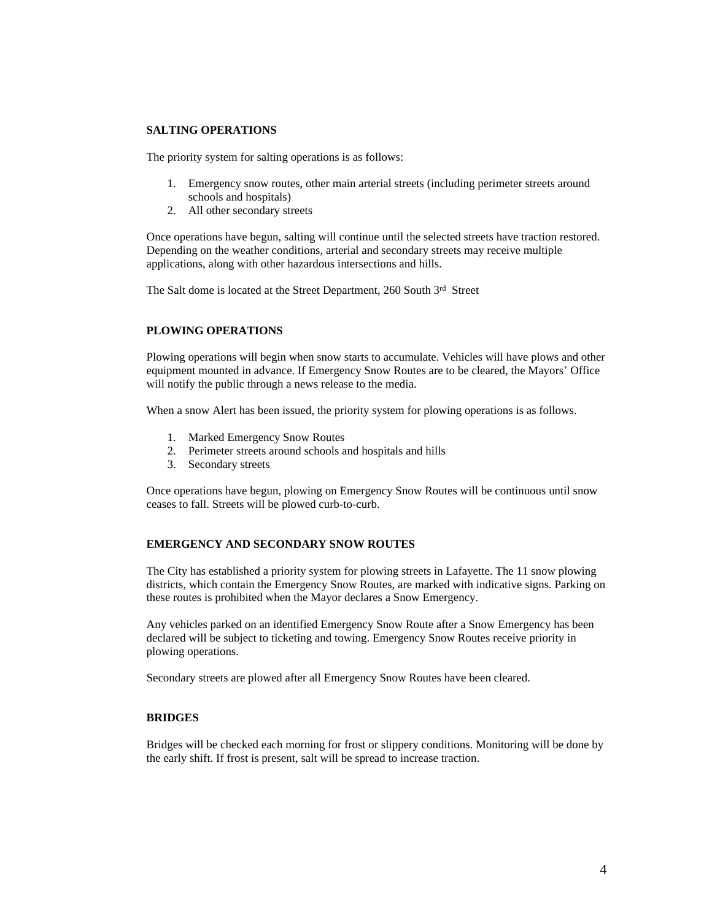## **SALTING OPERATIONS**

The priority system for salting operations is as follows:

- 1. Emergency snow routes, other main arterial streets (including perimeter streets around schools and hospitals)
- 2. All other secondary streets

Once operations have begun, salting will continue until the selected streets have traction restored. Depending on the weather conditions, arterial and secondary streets may receive multiple applications, along with other hazardous intersections and hills.

The Salt dome is located at the Street Department, 260 South 3rd Street

#### **PLOWING OPERATIONS**

Plowing operations will begin when snow starts to accumulate. Vehicles will have plows and other equipment mounted in advance. If Emergency Snow Routes are to be cleared, the Mayors' Office will notify the public through a news release to the media.

When a snow Alert has been issued, the priority system for plowing operations is as follows.

- 1. Marked Emergency Snow Routes
- 2. Perimeter streets around schools and hospitals and hills
- 3. Secondary streets

Once operations have begun, plowing on Emergency Snow Routes will be continuous until snow ceases to fall. Streets will be plowed curb-to-curb.

# **EMERGENCY AND SECONDARY SNOW ROUTES**

The City has established a priority system for plowing streets in Lafayette. The 11 snow plowing districts, which contain the Emergency Snow Routes, are marked with indicative signs. Parking on these routes is prohibited when the Mayor declares a Snow Emergency.

Any vehicles parked on an identified Emergency Snow Route after a Snow Emergency has been declared will be subject to ticketing and towing. Emergency Snow Routes receive priority in plowing operations.

Secondary streets are plowed after all Emergency Snow Routes have been cleared.

## **BRIDGES**

Bridges will be checked each morning for frost or slippery conditions. Monitoring will be done by the early shift. If frost is present, salt will be spread to increase traction.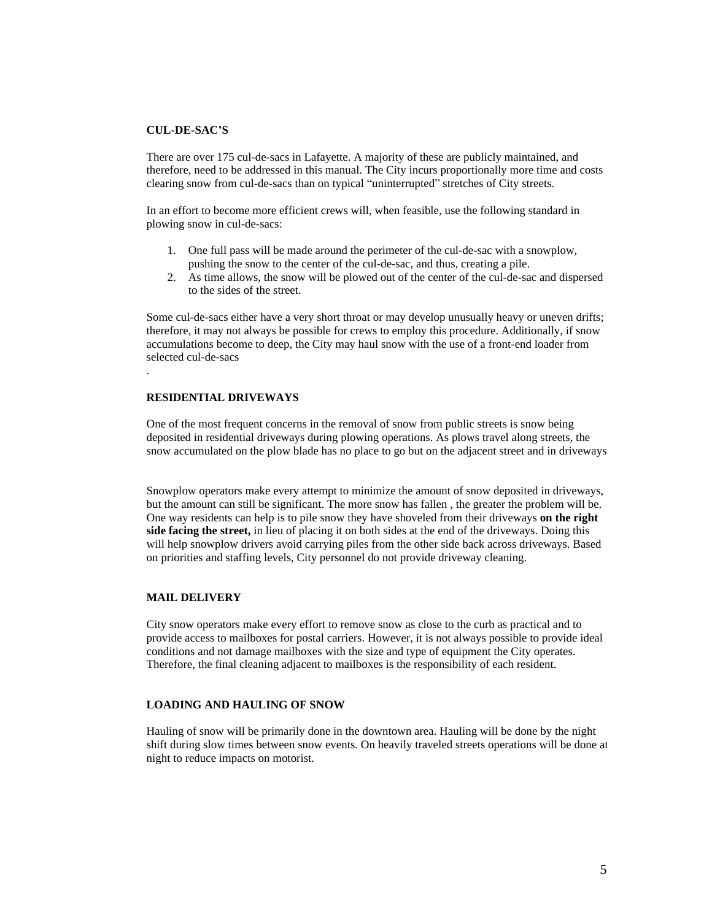## **CUL-DE-SAC'S**

There are over 175 cul-de-sacs in Lafayette. A majority of these are publicly maintained, and therefore, need to be addressed in this manual. The City incurs proportionally more time and costs clearing snow from cul-de-sacs than on typical "uninterrupted" stretches of City streets.

In an effort to become more efficient crews will, when feasible, use the following standard in plowing snow in cul-de-sacs:

- 1. One full pass will be made around the perimeter of the cul-de-sac with a snowplow, pushing the snow to the center of the cul-de-sac, and thus, creating a pile.
- 2. As time allows, the snow will be plowed out of the center of the cul-de-sac and dispersed to the sides of the street.

Some cul-de-sacs either have a very short throat or may develop unusually heavy or uneven drifts; therefore, it may not always be possible for crews to employ this procedure. Additionally, if snow accumulations become to deep, the City may haul snow with the use of a front-end loader from selected cul-de-sacs

#### **RESIDENTIAL DRIVEWAYS**

.

One of the most frequent concerns in the removal of snow from public streets is snow being deposited in residential driveways during plowing operations. As plows travel along streets, the snow accumulated on the plow blade has no place to go but on the adjacent street and in driveways.

Snowplow operators make every attempt to minimize the amount of snow deposited in driveways, but the amount can still be significant. The more snow has fallen , the greater the problem will be. One way residents can help is to pile snow they have shoveled from their driveways **on the right side facing the street,** in lieu of placing it on both sides at the end of the driveways. Doing this will help snowplow drivers avoid carrying piles from the other side back across driveways. Based on priorities and staffing levels, City personnel do not provide driveway cleaning.

#### **MAIL DELIVERY**

City snow operators make every effort to remove snow as close to the curb as practical and to provide access to mailboxes for postal carriers. However, it is not always possible to provide ideal conditions and not damage mailboxes with the size and type of equipment the City operates. Therefore, the final cleaning adjacent to mailboxes is the responsibility of each resident.

#### **LOADING AND HAULING OF SNOW**

Hauling of snow will be primarily done in the downtown area. Hauling will be done by the night shift during slow times between snow events. On heavily traveled streets operations will be done at night to reduce impacts on motorist.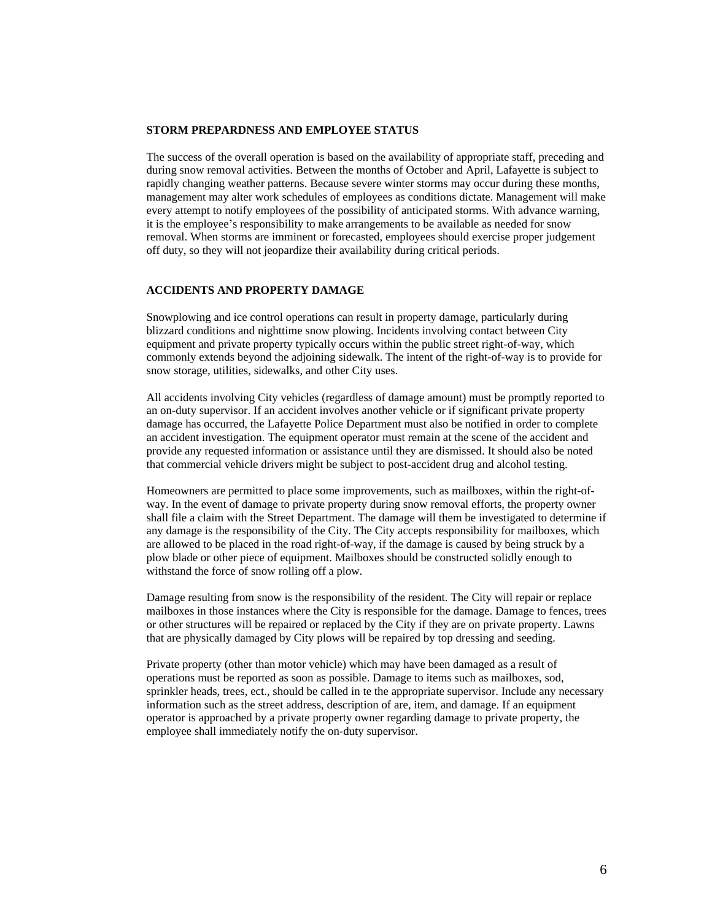## **STORM PREPARDNESS AND EMPLOYEE STATUS**

The success of the overall operation is based on the availability of appropriate staff, preceding and during snow removal activities. Between the months of October and April, Lafayette is subject to rapidly changing weather patterns. Because severe winter storms may occur during these months, management may alter work schedules of employees as conditions dictate. Management will make every attempt to notify employees of the possibility of anticipated storms. With advance warning, it is the employee's responsibility to make arrangements to be available as needed for snow removal. When storms are imminent or forecasted, employees should exercise proper judgement off duty, so they will not jeopardize their availability during critical periods.

# **ACCIDENTS AND PROPERTY DAMAGE**

Snowplowing and ice control operations can result in property damage, particularly during blizzard conditions and nighttime snow plowing. Incidents involving contact between City equipment and private property typically occurs within the public street right-of-way, which commonly extends beyond the adjoining sidewalk. The intent of the right-of-way is to provide for snow storage, utilities, sidewalks, and other City uses.

All accidents involving City vehicles (regardless of damage amount) must be promptly reported to an on-duty supervisor. If an accident involves another vehicle or if significant private property damage has occurred, the Lafayette Police Department must also be notified in order to complete an accident investigation. The equipment operator must remain at the scene of the accident and provide any requested information or assistance until they are dismissed. It should also be noted that commercial vehicle drivers might be subject to post-accident drug and alcohol testing.

Homeowners are permitted to place some improvements, such as mailboxes, within the right-ofway. In the event of damage to private property during snow removal efforts, the property owner shall file a claim with the Street Department. The damage will them be investigated to determine if any damage is the responsibility of the City. The City accepts responsibility for mailboxes, which are allowed to be placed in the road right-of-way, if the damage is caused by being struck by a plow blade or other piece of equipment. Mailboxes should be constructed solidly enough to withstand the force of snow rolling off a plow.

Damage resulting from snow is the responsibility of the resident. The City will repair or replace mailboxes in those instances where the City is responsible for the damage. Damage to fences, trees, or other structures will be repaired or replaced by the City if they are on private property. Lawns that are physically damaged by City plows will be repaired by top dressing and seeding.

Private property (other than motor vehicle) which may have been damaged as a result of operations must be reported as soon as possible. Damage to items such as mailboxes, sod, sprinkler heads, trees, ect., should be called in te the appropriate supervisor. Include any necessary information such as the street address, description of are, item, and damage. If an equipment operator is approached by a private property owner regarding damage to private property, the employee shall immediately notify the on-duty supervisor.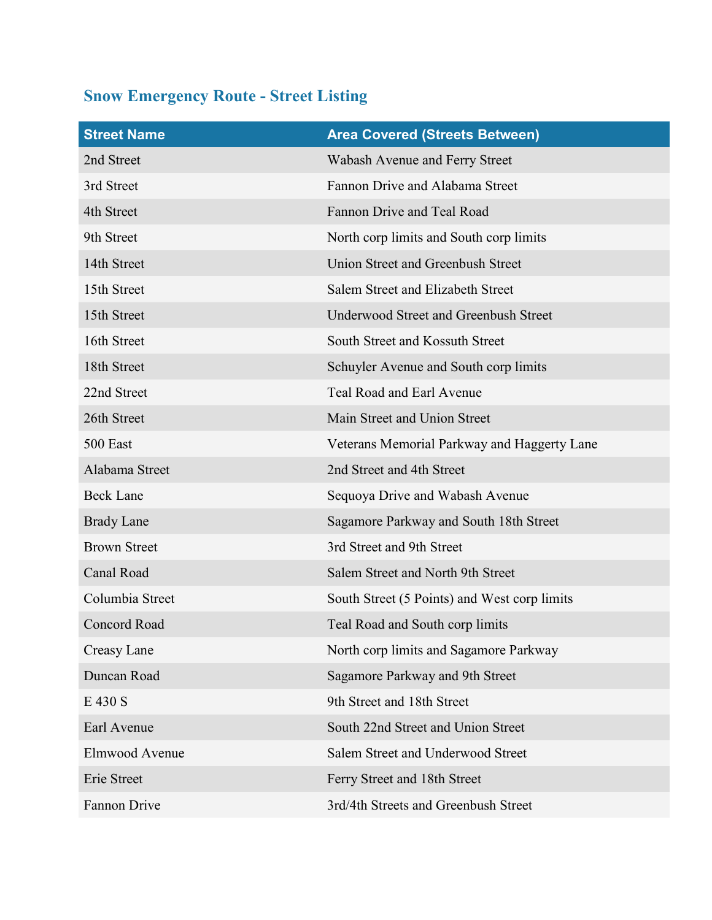# Snow Emergency Route - Street Listing

| <b>Street Name</b>  | <b>Area Covered (Streets Between)</b>        |
|---------------------|----------------------------------------------|
| 2nd Street          | Wabash Avenue and Ferry Street               |
| 3rd Street          | Fannon Drive and Alabama Street              |
| 4th Street          | Fannon Drive and Teal Road                   |
| 9th Street          | North corp limits and South corp limits      |
| 14th Street         | Union Street and Greenbush Street            |
| 15th Street         | Salem Street and Elizabeth Street            |
| 15th Street         | Underwood Street and Greenbush Street        |
| 16th Street         | South Street and Kossuth Street              |
| 18th Street         | Schuyler Avenue and South corp limits        |
| 22nd Street         | Teal Road and Earl Avenue                    |
| 26th Street         | Main Street and Union Street                 |
| 500 East            | Veterans Memorial Parkway and Haggerty Lane  |
| Alabama Street      | 2nd Street and 4th Street                    |
| <b>Beck Lane</b>    | Sequoya Drive and Wabash Avenue              |
| <b>Brady Lane</b>   | Sagamore Parkway and South 18th Street       |
| <b>Brown Street</b> | 3rd Street and 9th Street                    |
| Canal Road          | Salem Street and North 9th Street            |
| Columbia Street     | South Street (5 Points) and West corp limits |
| Concord Road        | Teal Road and South corp limits              |
| Creasy Lane         | North corp limits and Sagamore Parkway       |
| Duncan Road         | Sagamore Parkway and 9th Street              |
| E 430 S             | 9th Street and 18th Street                   |
| Earl Avenue         | South 22nd Street and Union Street           |
| Elmwood Avenue      | Salem Street and Underwood Street            |
| Erie Street         | Ferry Street and 18th Street                 |
| Fannon Drive        | 3rd/4th Streets and Greenbush Street         |